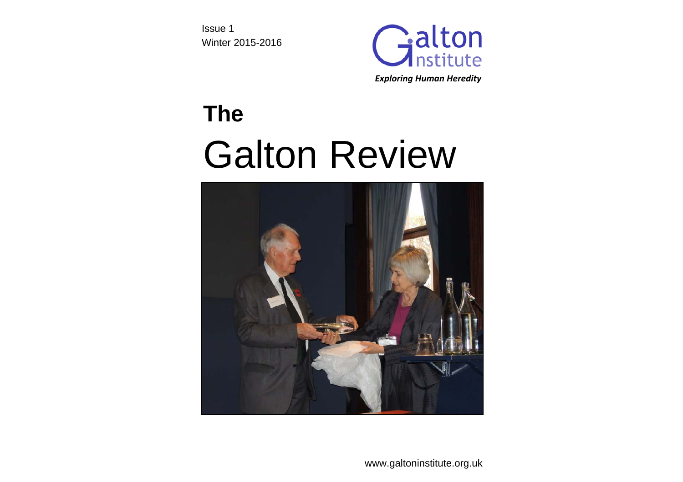Issue 1 Winter 2015-2016



# **The**  Galton Review



www.galtoninstitute.org.uk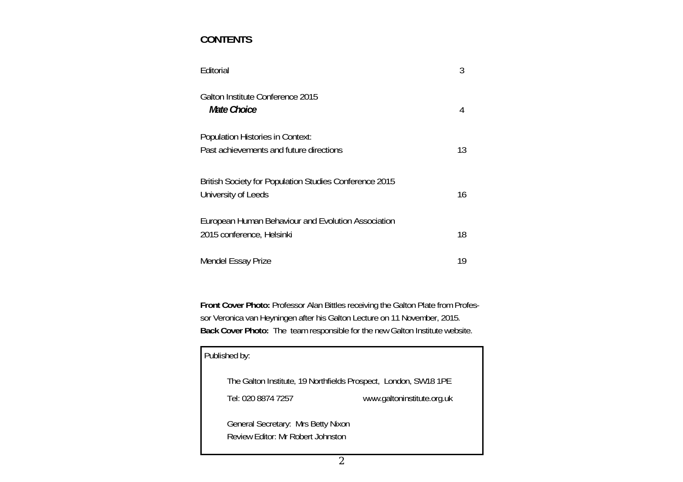# **CONTENTS**

| Editorial                                                                          |    |
|------------------------------------------------------------------------------------|----|
| Galton Institute Conference 2015<br>Mate Choice                                    | 4  |
| <b>Population Histories in Context:</b><br>Past achievements and future directions | 13 |
| British Society for Population Studies Conference 2015<br>University of Leeds      | 16 |
| European Human Behaviour and Evolution Association<br>2015 conference, Helsinki    | 18 |
| Mendel Essay Prize                                                                 | 19 |

**Front Cover Photo:** Professor Alan Bittles receiving the Galton Plate from Professor Veronica van Heyningen after his Galton Lecture on 11 November, 2015. **Back Cover Photo:** The team responsible for the new Galton Institute website.

| Published by:                                                           |                            |
|-------------------------------------------------------------------------|----------------------------|
| The Galton Institute, 19 Northfields Prospect, London, SW18 1PE         |                            |
| Tel: 020 8874 7257                                                      | www.galtoninstitute.org.uk |
| General Secretary: Mrs Betty Nixon<br>Review Editor: Mr Robert Johnston |                            |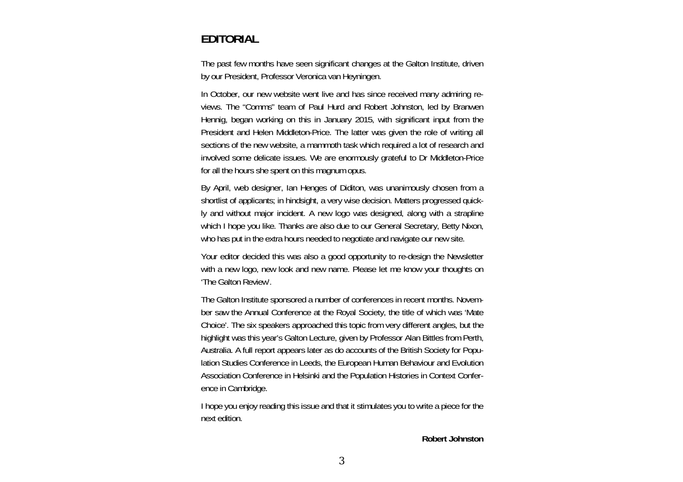# **EDITORIAL**

The past few months have seen significant changes at the Galton Institute, driven by our President, Professor Veronica van Heyningen.

In October, our new website went live and has since received many admiring reviews. The "Comms" team of Paul Hurd and Robert Johnston, led by Branwen Hennig, began working on this in January 2015, with significant input from the President and Helen Middleton-Price. The latter was given the role of writing all sections of the new website, a mammoth task which required a lot of research and involved some delicate issues. We are enormously grateful to Dr Middleton-Price for all the hours she spent on this magnum opus.

By April, web designer, Ian Henges of Diditon, was unanimously chosen from a shortlist of applicants; in hindsight, a very wise decision. Matters progressed quickly and without major incident. A new logo was designed, along with a strapline which I hope you like. Thanks are also due to our General Secretary, Betty Nixon, who has put in the extra hours needed to negotiate and navigate our new site.

Your editor decided this was also a good opportunity to re-design the Newsletter with a new logo, new look and new name. Please let me know your thoughts on 'The Galton Review'.

The Galton Institute sponsored a number of conferences in recent months. November saw the Annual Conference at the Royal Society, the title of which was 'Mate Choice'. The six speakers approached this topic from very different angles, but the highlight was this year's Galton Lecture, given by Professor Alan Bittles from Perth, Australia. A full report appears later as do accounts of the British Society for Population Studies Conference in Leeds, the European Human Behaviour and Evolution Association Conference in Helsinki and the Population Histories in Context Conference in Cambridge.

I hope you enjoy reading this issue and that it stimulates you to write a piece for the next edition.

**Robert Johnston**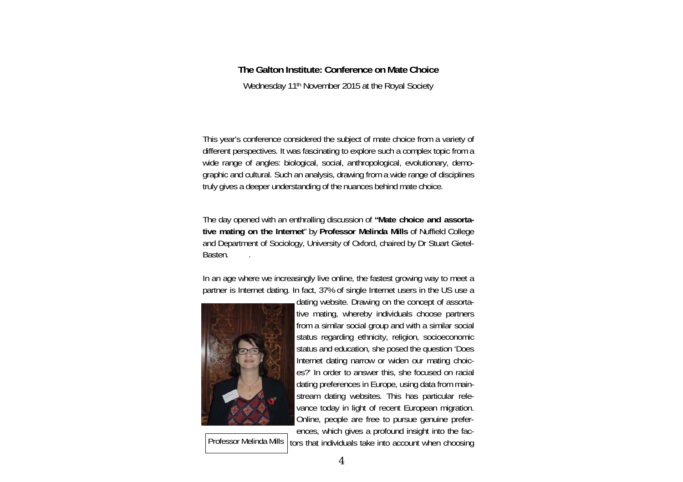# **The Galton Institute: Conference on Mate Choice**

Wednesday 11th November 2015 at the Royal Society

This year's conference considered the subject of mate choice from a variety of different perspectives. It was fascinating to explore such a complex topic from a wide range of angles: biological, social, anthropological, evolutionary, demographic and cultural. Such an analysis, drawing from a wide range of disciplines truly gives a deeper understanding of the nuances behind mate choice.

The day opened with an enthralling discussion of **"Mate choice and assortative mating on the Internet**" by **Professor Melinda Mills** of Nuffield College and Department of Sociology, University of Oxford, chaired by Dr Stuart Gietel-Basten. .

In an age where we increasingly live online, the fastest growing way to meet a partner is Internet dating. In fact, 37% of single Internet users in the US use a



Professor Melinda Mills  $\vert$  tors that individuals take into account when choosing

dating website. Drawing on the concept of assortative mating, whereby individuals choose partners from a similar social group and with a similar social status regarding ethnicity, religion, socioeconomic status and education, she posed the question 'Does Internet dating narrow or widen our mating choices?' In order to answer this, she focused on racial dating preferences in Europe, using data from mainstream dating websites. This has particular relevance today in light of recent European migration. Online, people are free to pursue genuine preferences, which gives a profound insight into the fac-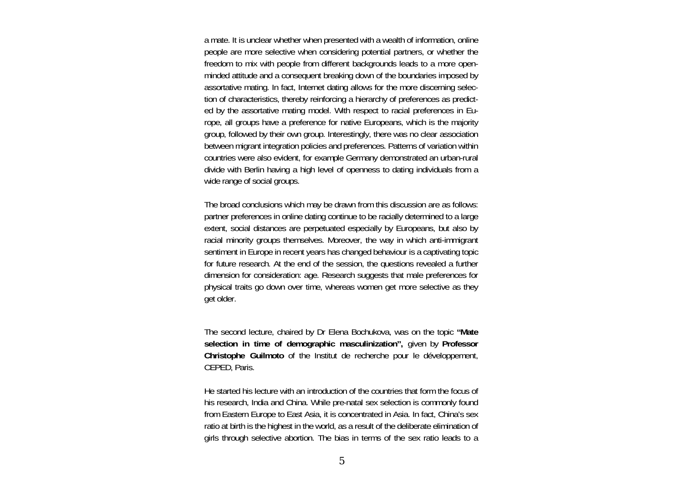a mate. It is unclear whether when presented with a wealth of information, online people are more selective when considering potential partners, or whether the freedom to mix with people from different backgrounds leads to a more openminded attitude and a consequent breaking down of the boundaries imposed by assortative mating. In fact, Internet dating allows for the more discerning selection of characteristics, thereby reinforcing a hierarchy of preferences as predicted by the assortative mating model. With respect to racial preferences in Europe, all groups have a preference for native Europeans, which is the majority group, followed by their own group. Interestingly, there was no clear association between migrant integration policies and preferences. Patterns of variation within countries were also evident, for example Germany demonstrated an urban-rural divide with Berlin having a high level of openness to dating individuals from a wide range of social groups.

The broad conclusions which may be drawn from this discussion are as follows: partner preferences in online dating continue to be racially determined to a large extent, social distances are perpetuated especially by Europeans, but also by racial minority groups themselves. Moreover, the way in which anti-immigrant sentiment in Europe in recent years has changed behaviour is a captivating topic for future research. At the end of the session, the questions revealed a further dimension for consideration: age. Research suggests that male preferences for physical traits go down over time, whereas women get more selective as they get older.

The second lecture, chaired by Dr Elena Bochukova, was on the topic **"Mate selection in time of demographic masculinization",** given by **Professor Christophe Guilmoto** of the Institut de recherche pour le développement, CEPED, Paris.

He started his lecture with an introduction of the countries that form the focus of his research, India and China. While pre-natal sex selection is commonly found from Eastern Europe to East Asia, it is concentrated in Asia. In fact, China's sex ratio at birth is the highest in the world, as a result of the deliberate elimination of girls through selective abortion. The bias in terms of the sex ratio leads to a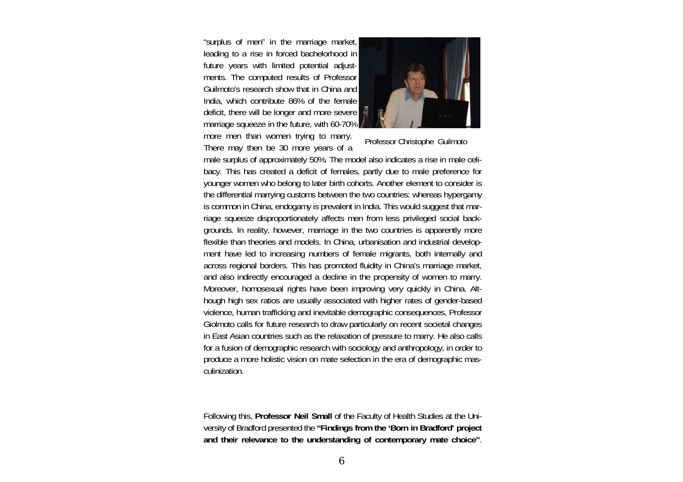"surplus of men" in the marriage market, leading to a rise in forced bachelorhood in future years with limited potential adjustments. The computed results of Professor Guilmoto's research show that in China and India, which contribute 86% of the female deficit, there will be longer and more severe marriage squeeze in the future, with 60-70% more men than women trying to marry.

There may then be 30 more years of a



Professor Christophe Guilmoto

male surplus of approximately 50%. The model also indicates a rise in male celibacy. This has created a deficit of females, partly due to male preference for younger women who belong to later birth cohorts. Another element to consider is the differential marrying customs between the two countries: whereas hypergamy is common in China, endogamy is prevalent in India. This would suggest that marriage squeeze disproportionately affects men from less privileged social backgrounds. In reality, however, marriage in the two countries is apparently more flexible than theories and models. In China, urbanisation and industrial development have led to increasing numbers of female migrants, both internally and across regional borders. This has promoted fluidity in China's marriage market, and also indirectly encouraged a decline in the propensity of women to marry. Moreover, homosexual rights have been improving very quickly in China. Although high sex ratios are usually associated with higher rates of gender-based violence, human trafficking and inevitable demographic consequences, Professor Giolmoto calls for future research to draw particularly on recent societal changes in East Asian countries such as the relaxation of pressure to marry. He also calls for a fusion of demographic research with sociology and anthropology, in order to produce a more holistic vision on mate selection in the era of demographic masculinization.

Following this, **Professor Neil Small** of the Faculty of Health Studies at the University of Bradford presented the **"Findings from the 'Born in Bradford' project and their relevance to the understanding of contemporary mate choice"**.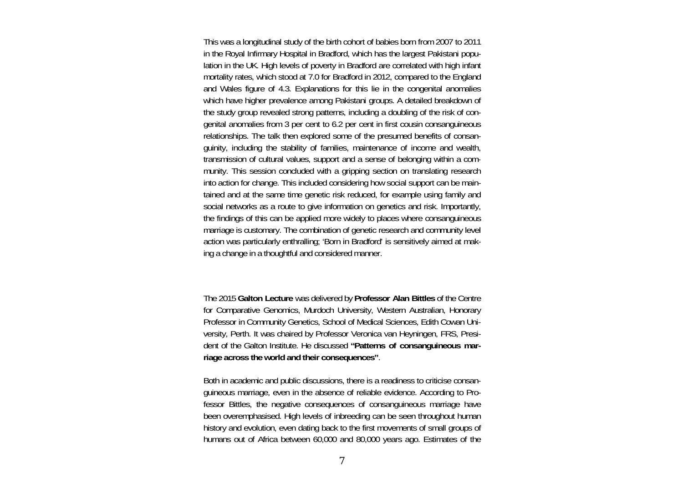This was a longitudinal study of the birth cohort of babies born from 2007 to 2011 in the Royal Infirmary Hospital in Bradford, which has the largest Pakistani population in the UK. High levels of poverty in Bradford are correlated with high infant mortality rates, which stood at 7.0 for Bradford in 2012, compared to the England and Wales figure of 4.3. Explanations for this lie in the congenital anomalies which have higher prevalence among Pakistani groups. A detailed breakdown of the study group revealed strong patterns, including a doubling of the risk of congenital anomalies from 3 per cent to 6.2 per cent in first cousin consanguineous relationships. The talk then explored some of the presumed benefits of consanguinity, including the stability of families, maintenance of income and wealth, transmission of cultural values, support and a sense of belonging within a community. This session concluded with a gripping section on translating research into action for change. This included considering how social support can be maintained and at the same time genetic risk reduced, for example using family and social networks as a route to give information on genetics and risk. Importantly, the findings of this can be applied more widely to places where consanguineous marriage is customary. The combination of genetic research and community level action was particularly enthralling; 'Born in Bradford' is sensitively aimed at making a change in a thoughtful and considered manner.

The 2015 **Galton Lecture** was delivered by **Professor Alan Bittles** of the Centre for Comparative Genomics, Murdoch University, Western Australian, Honorary Professor in Community Genetics, School of Medical Sciences, Edith Cowan University, Perth. It was chaired by Professor Veronica van Heyningen, FRS, President of the Galton Institute. He discussed **"Patterns of consanguineous marriage across the world and their consequences"**.

Both in academic and public discussions, there is a readiness to criticise consanguineous marriage, even in the absence of reliable evidence. According to Professor Bittles, the negative consequences of consanguineous marriage have been overemphasised. High levels of inbreeding can be seen throughout human history and evolution, even dating back to the first movements of small groups of humans out of Africa between 60,000 and 80,000 years ago. Estimates of the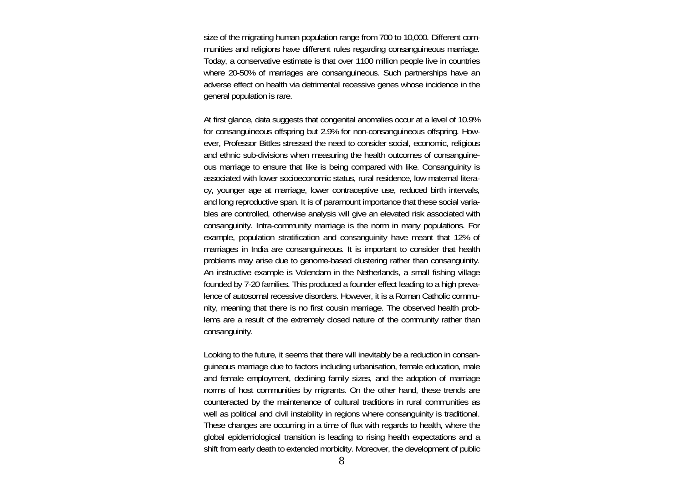size of the migrating human population range from 700 to 10,000. Different communities and religions have different rules regarding consanguineous marriage. Today, a conservative estimate is that over 1100 million people live in countries where 20-50% of marriages are consanguineous. Such partnerships have an adverse effect on health via detrimental recessive genes whose incidence in the general population is rare.

At first glance, data suggests that congenital anomalies occur at a level of 10.9% for consanguineous offspring but 2.9% for non-consanguineous offspring. However, Professor Bittles stressed the need to consider social, economic, religious and ethnic sub-divisions when measuring the health outcomes of consanguineous marriage to ensure that like is being compared with like. Consanguinity is associated with lower socioeconomic status, rural residence, low maternal literacy, younger age at marriage, lower contraceptive use, reduced birth intervals, and long reproductive span. It is of paramount importance that these social variables are controlled, otherwise analysis will give an elevated risk associated with consanguinity. Intra-community marriage is the norm in many populations. For example, population stratification and consanguinity have meant that 12% of marriages in India are consanguineous. It is important to consider that health problems may arise due to genome-based clustering rather than consanguinity. An instructive example is Volendam in the Netherlands, a small fishing village founded by 7-20 families. This produced a founder effect leading to a high prevalence of autosomal recessive disorders. However, it is a Roman Catholic community, meaning that there is no first cousin marriage. The observed health problems are a result of the extremely closed nature of the community rather than consanguinity.

Looking to the future, it seems that there will inevitably be a reduction in consanguineous marriage due to factors including urbanisation, female education, male and female employment, declining family sizes, and the adoption of marriage norms of host communities by migrants. On the other hand, these trends are counteracted by the maintenance of cultural traditions in rural communities as well as political and civil instability in regions where consanguinity is traditional. These changes are occurring in a time of flux with regards to health, where the global epidemiological transition is leading to rising health expectations and a shift from early death to extended morbidity. Moreover, the development of public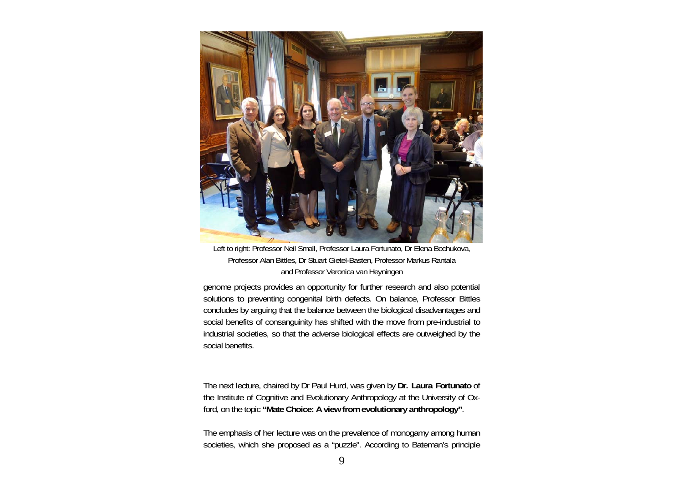

Left to right: Professor Neil Small, Professor Laura Fortunato, Dr Elena Bochukova, Professor Alan Bittles, Dr Stuart Gietel-Basten, Professor Markus Rantala and Professor Veronica van Heyningen

genome projects provides an opportunity for further research and also potential solutions to preventing congenital birth defects. On balance, Professor Bittles concludes by arguing that the balance between the biological disadvantages and social benefits of consanguinity has shifted with the move from pre-industrial to industrial societies, so that the adverse biological effects are outweighed by the social benefits.

The next lecture, chaired by Dr Paul Hurd, was given by **Dr. Laura Fortunato** of the Institute of Cognitive and Evolutionary Anthropology at the University of Oxford, on the topic **"Mate Choice: A view from evolutionary anthropology"**.

The emphasis of her lecture was on the prevalence of monogamy among human societies, which she proposed as a "puzzle". According to Bateman's principle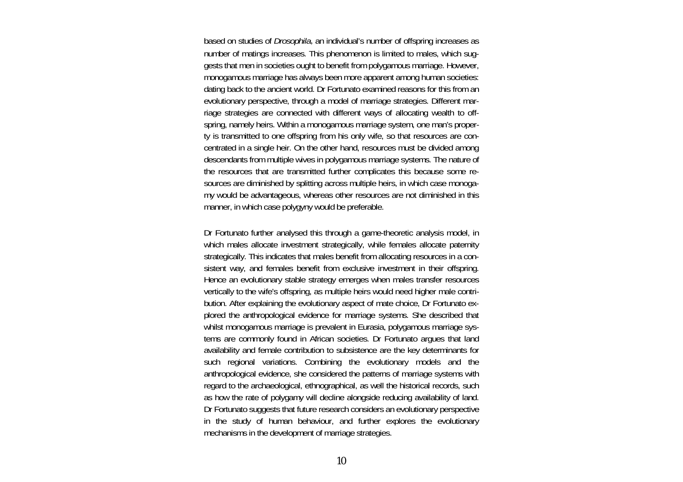based on studies of *Drosophila*, an individual's number of offspring increases as number of matings increases. This phenomenon is limited to males, which suggests that men in societies ought to benefit from polygamous marriage. However, monogamous marriage has always been more apparent among human societies: dating back to the ancient world. Dr Fortunato examined reasons for this from an evolutionary perspective, through a model of marriage strategies. Different marriage strategies are connected with different ways of allocating wealth to offspring, namely heirs. Within a monogamous marriage system, one man's property is transmitted to one offspring from his only wife, so that resources are concentrated in a single heir. On the other hand, resources must be divided among descendants from multiple wives in polygamous marriage systems. The nature of the resources that are transmitted further complicates this because some resources are diminished by splitting across multiple heirs, in which case monogamy would be advantageous, whereas other resources are not diminished in this manner, in which case polygyny would be preferable.

Dr Fortunato further analysed this through a game-theoretic analysis model, in which males allocate investment strategically, while females allocate paternity strategically. This indicates that males benefit from allocating resources in a consistent way, and females benefit from exclusive investment in their offspring. Hence an evolutionary stable strategy emerges when males transfer resources vertically to the wife's offspring, as multiple heirs would need higher male contribution. After explaining the evolutionary aspect of mate choice, Dr Fortunato explored the anthropological evidence for marriage systems. She described that whilst monogamous marriage is prevalent in Eurasia, polygamous marriage systems are commonly found in African societies. Dr Fortunato argues that land availability and female contribution to subsistence are the key determinants for such regional variations. Combining the evolutionary models and the anthropological evidence, she considered the patterns of marriage systems with regard to the archaeological, ethnographical, as well the historical records, such as how the rate of polygamy will decline alongside reducing availability of land. Dr Fortunato suggests that future research considers an evolutionary perspective in the study of human behaviour, and further explores the evolutionary mechanisms in the development of marriage strategies.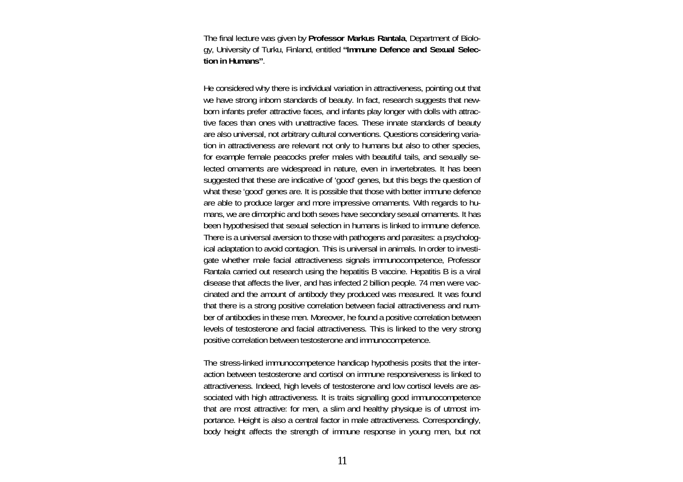The final lecture was given by **Professor Markus Rantala**, Department of Biology, University of Turku, Finland, entitled **"Immune Defence and Sexual Selection in Humans"**.

He considered why there is individual variation in attractiveness, pointing out that we have strong inborn standards of beauty. In fact, research suggests that newborn infants prefer attractive faces, and infants play longer with dolls with attractive faces than ones with unattractive faces. These innate standards of beauty are also universal, not arbitrary cultural conventions. Questions considering variation in attractiveness are relevant not only to humans but also to other species, for example female peacocks prefer males with beautiful tails, and sexually selected ornaments are widespread in nature, even in invertebrates. It has been suggested that these are indicative of 'good' genes, but this begs the question of what these 'good' genes are. It is possible that those with better immune defence are able to produce larger and more impressive ornaments. With regards to humans, we are dimorphic and both sexes have secondary sexual ornaments. It has been hypothesised that sexual selection in humans is linked to immune defence. There is a universal aversion to those with pathogens and parasites: a psychological adaptation to avoid contagion. This is universal in animals. In order to investigate whether male facial attractiveness signals immunocompetence, Professor Rantala carried out research using the hepatitis B vaccine. Hepatitis B is a viral disease that affects the liver, and has infected 2 billion people. 74 men were vaccinated and the amount of antibody they produced was measured. It was found that there is a strong positive correlation between facial attractiveness and number of antibodies in these men. Moreover, he found a positive correlation between levels of testosterone and facial attractiveness. This is linked to the very strong positive correlation between testosterone and immunocompetence.

The stress-linked immunocompetence handicap hypothesis posits that the interaction between testosterone and cortisol on immune responsiveness is linked to attractiveness. Indeed, high levels of testosterone and low cortisol levels are associated with high attractiveness. It is traits signalling good immunocompetence that are most attractive: for men, a slim and healthy physique is of utmost importance. Height is also a central factor in male attractiveness. Correspondingly, body height affects the strength of immune response in young men, but not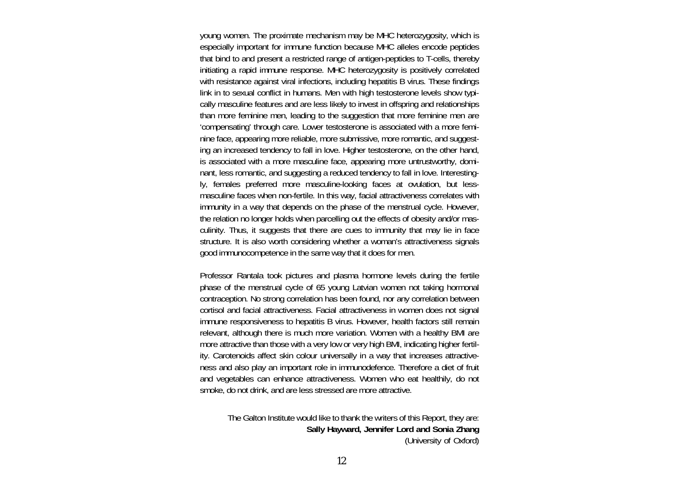young women. The proximate mechanism may be MHC heterozygosity, which is especially important for immune function because MHC alleles encode peptides that bind to and present a restricted range of antigen-peptides to T-cells, thereby initiating a rapid immune response. MHC heterozygosity is positively correlated with resistance against viral infections, including hepatitis B virus. These findings link in to sexual conflict in humans. Men with high testosterone levels show typically masculine features and are less likely to invest in offspring and relationships than more feminine men, leading to the suggestion that more feminine men are 'compensating' through care. Lower testosterone is associated with a more feminine face, appearing more reliable, more submissive, more romantic, and suggesting an increased tendency to fall in love. Higher testosterone, on the other hand, is associated with a more masculine face, appearing more untrustworthy, dominant, less romantic, and suggesting a reduced tendency to fall in love. Interestingly, females preferred more masculine-looking faces at ovulation, but lessmasculine faces when non-fertile. In this way, facial attractiveness correlates with immunity in a way that depends on the phase of the menstrual cycle. However, the relation no longer holds when parcelling out the effects of obesity and/or masculinity. Thus, it suggests that there are cues to immunity that may lie in face structure. It is also worth considering whether a woman's attractiveness signals good immunocompetence in the same way that it does for men.

Professor Rantala took pictures and plasma hormone levels during the fertile phase of the menstrual cycle of 65 young Latvian women not taking hormonal contraception. No strong correlation has been found, nor any correlation between cortisol and facial attractiveness. Facial attractiveness in women does not signal immune responsiveness to hepatitis B virus. However, health factors still remain relevant, although there is much more variation. Women with a healthy BMI are more attractive than those with a very low or very high BMI, indicating higher fertility. Carotenoids affect skin colour universally in a way that increases attractiveness and also play an important role in immunodefence. Therefore a diet of fruit and vegetables can enhance attractiveness. Women who eat healthily, do not smoke, do not drink, and are less stressed are more attractive.

> The Galton Institute would like to thank the writers of this Report, they are: **Sally Hayward, Jennifer Lord and Sonia Zhang** (University of Oxford)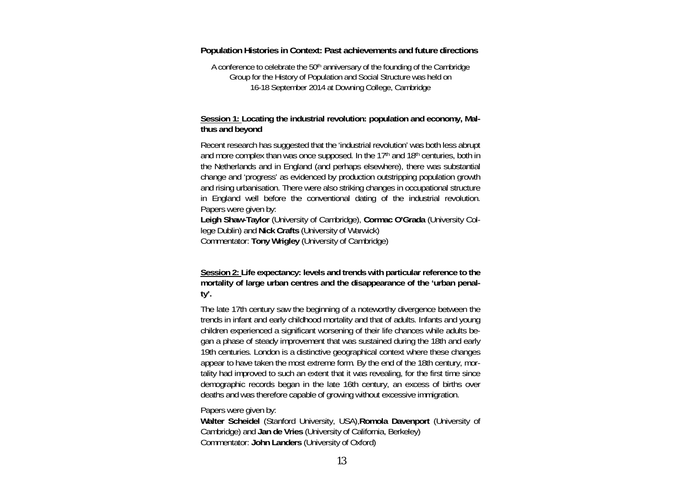#### **Population Histories in Context: Past achievements and future directions**

A conference to celebrate the 50<sup>th</sup> anniversary of the founding of the Cambridge Group for the History of Population and Social Structure was held on 16-18 September 2014 at Downing College, Cambridge

## **Session 1: Locating the industrial revolution: population and economy, Malthus and beyond**

Recent research has suggested that the 'industrial revolution' was both less abrupt and more complex than was once supposed. In the 17<sup>th</sup> and 18<sup>th</sup> centuries, both in the Netherlands and in England (and perhaps elsewhere), there was substantial change and 'progress' as evidenced by production outstripping population growth and rising urbanisation. There were also striking changes in occupational structure in England well before the conventional dating of the industrial revolution. Papers were given by:

**Leigh Shaw-Taylor** (University of Cambridge), **Cormac O'Grada** (University College Dublin) and **Nick Crafts** (University of Warwick) Commentator: **Tony Wrigley** (University of Cambridge)

**Session 2: Life expectancy: levels and trends with particular reference to the mortality of large urban centres and the disappearance of the 'urban penalty'.** 

The late 17th century saw the beginning of a noteworthy divergence between the trends in infant and early childhood mortality and that of adults. Infants and young children experienced a significant worsening of their life chances while adults began a phase of steady improvement that was sustained during the 18th and early 19th centuries. London is a distinctive geographical context where these changes appear to have taken the most extreme form. By the end of the 18th century, mortality had improved to such an extent that it was revealing, for the first time since demographic records began in the late 16th century, an excess of births over deaths and was therefore capable of growing without excessive immigration.

Papers were given by:

**Walter Scheidel** (Stanford University, USA),**Romola Davenport** (University of Cambridge) and **Jan de Vries** (University of California, Berkeley) Commentator: **John Landers** (University of Oxford)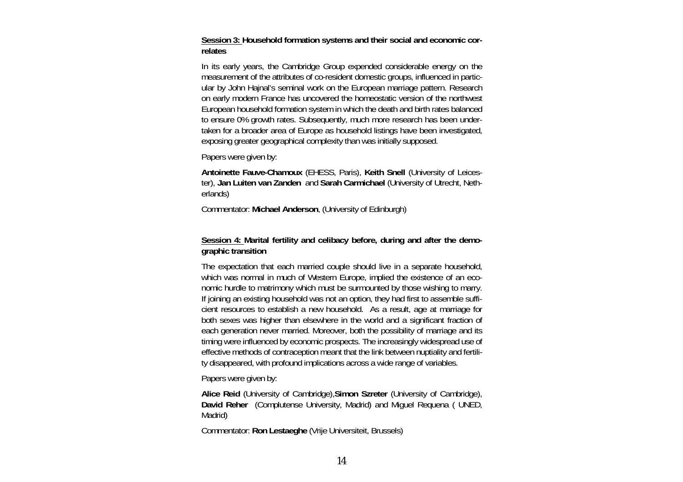**Session 3: Household formation systems and their social and economic correlates** 

In its early years, the Cambridge Group expended considerable energy on the measurement of the attributes of co-resident domestic groups, influenced in particular by John Hajnal's seminal work on the European marriage pattern. Research on early modern France has uncovered the homeostatic version of the northwest European household formation system in which the death and birth rates balanced to ensure 0% growth rates. Subsequently, much more research has been undertaken for a broader area of Europe as household listings have been investigated, exposing greater geographical complexity than was initially supposed.

Papers were given by:

**Antoinette Fauve-Chamoux** (EHESS, Paris), **Keith Snell** (University of Leicester), **Jan Luiten van Zanden** and **Sarah Carmichael** (University of Utrecht, Netherlands)

Commentator: **Michael Anderson**, (University of Edinburgh)

# **Session 4: Marital fertility and celibacy before, during and after the demographic transition**

The expectation that each married couple should live in a separate household, which was normal in much of Western Europe, implied the existence of an economic hurdle to matrimony which must be surmounted by those wishing to marry. If joining an existing household was not an option, they had first to assemble sufficient resources to establish a new household. As a result, age at marriage for both sexes was higher than elsewhere in the world and a significant fraction of each generation never married. Moreover, both the possibility of marriage and its timing were influenced by economic prospects. The increasingly widespread use of effective methods of contraception meant that the link between nuptiality and fertility disappeared, with profound implications across a wide range of variables.

Papers were given by:

**Alice Reid** (University of Cambridge),**Simon Szreter** (University of Cambridge), **David Reher** (Complutense University, Madrid) and Miguel Requena ( UNED, Madrid)

Commentator: **Ron Lestaeghe** (Vrije Universiteit, Brussels)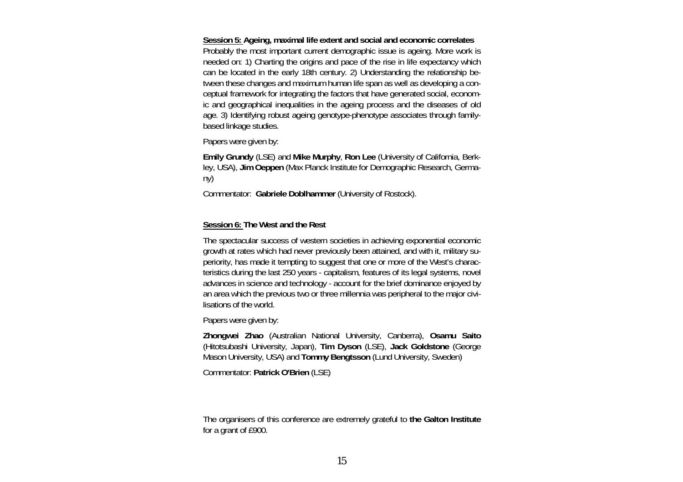**Session 5: Ageing, maximal life extent and social and economic correlates**  Probably the most important current demographic issue is ageing. More work is needed on: 1) Charting the origins and pace of the rise in life expectancy which can be located in the early 18th century. 2) Understanding the relationship between these changes and maximum human life span as well as developing a conceptual framework for integrating the factors that have generated social, economic and geographical inequalities in the ageing process and the diseases of old age. 3) Identifying robust ageing genotype-phenotype associates through familybased linkage studies.

Papers were given by:

**Emily Grundy** (LSE) and **Mike Murphy**, **Ron Lee** (University of California, Berkley, USA), **Jim Oeppen** (Max Planck Institute for Demographic Research, Germany)

Commentator: **Gabriele Doblhammer** (University of Rostock).

# **Session 6: The West and the Rest**

The spectacular success of western societies in achieving exponential economic growth at rates which had never previously been attained, and with it, military superiority, has made it tempting to suggest that one or more of the West's characteristics during the last 250 years - capitalism, features of its legal systems, novel advances in science and technology - account for the brief dominance enjoyed by an area which the previous two or three millennia was peripheral to the major civilisations of the world.

Papers were given by:

**Zhongwei Zhao** (Australian National University, Canberra), **Osamu Saito** (Hitotsubashi University, Japan), **Tim Dyson** (LSE), **Jack Goldstone** (George Mason University, USA) and **Tommy Bengtsson** (Lund University, Sweden)

Commentator: **Patrick O'Brien** (LSE)

The organisers of this conference are extremely grateful to **the Galton Institute** for a grant of £900.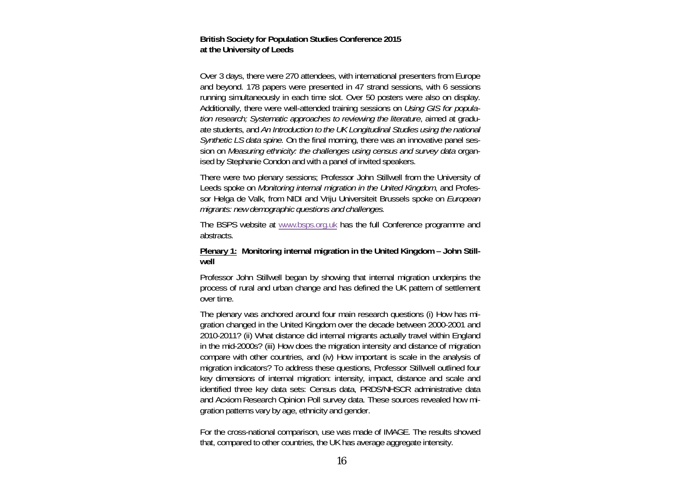#### **British Society for Population Studies Conference 2015 at the University of Leeds**

Over 3 days, there were 270 attendees, with international presenters from Europe and beyond. 178 papers were presented in 47 strand sessions, with 6 sessions running simultaneously in each time slot. Over 50 posters were also on display. Additionally, there were well-attended training sessions on *Using GIS for population research; Systematic approaches to reviewing the literature*, aimed at graduate students, and *An Introduction to the UK Longitudinal Studies using the national Synthetic LS data spine.* On the final morning, there was an innovative panel session on *Measuring ethnicity: the challenges using census and survey data* organised by Stephanie Condon and with a panel of invited speakers.

There were two plenary sessions; Professor John Stillwell from the University of Leeds spoke on *Monitoring internal migration in the United Kingdom*, and Professor Helga de Valk, from NIDI and Vriju Universiteit Brussels spoke on *European migrants: new demographic questions and challenges.* 

The BSPS website at www.bsps.org.uk has the full Conference programme and abstracts.

# **Plenary 1: Monitoring internal migration in the United Kingdom – John Stillwell**

Professor John Stillwell began by showing that internal migration underpins the process of rural and urban change and has defined the UK pattern of settlement over time.

The plenary was anchored around four main research questions (i) How has migration changed in the United Kingdom over the decade between 2000-2001 and 2010-2011? (ii) What distance did internal migrants actually travel within England in the mid-2000s? (iii) How does the migration intensity and distance of migration compare with other countries, and (iv) How important is scale in the analysis of migration indicators? To address these questions, Professor Stillwell outlined four key dimensions of internal migration: intensity, impact, distance and scale and identified three key data sets: Census data, PRDS/NHSCR administrative data and Acxiom Research Opinion Poll survey data. These sources revealed how migration patterns vary by age, ethnicity and gender.

For the cross-national comparison, use was made of IMAGE. The results showed that, compared to other countries, the UK has average aggregate intensity.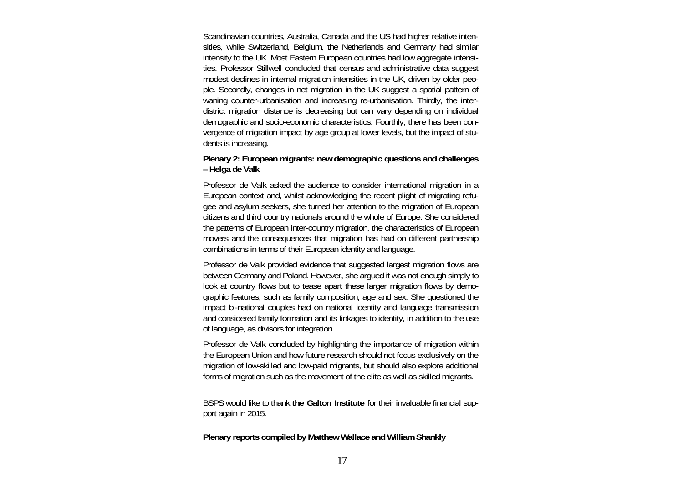Scandinavian countries, Australia, Canada and the US had higher relative intensities, while Switzerland, Belgium, the Netherlands and Germany had similar intensity to the UK. Most Eastern European countries had low aggregate intensities. Professor Stillwell concluded that census and administrative data suggest modest declines in internal migration intensities in the UK, driven by older people. Secondly, changes in net migration in the UK suggest a spatial pattern of waning counter-urbanisation and increasing re-urbanisation. Thirdly, the interdistrict migration distance is decreasing but can vary depending on individual demographic and socio-economic characteristics. Fourthly, there has been convergence of migration impact by age group at lower levels, but the impact of students is increasing.

# **Plenary 2: European migrants: new demographic questions and challenges – Helga de Valk**

Professor de Valk asked the audience to consider international migration in a European context and, whilst acknowledging the recent plight of migrating refugee and asylum seekers, she turned her attention to the migration of European citizens and third country nationals around the whole of Europe. She considered the patterns of European inter-country migration, the characteristics of European movers and the consequences that migration has had on different partnership combinations in terms of their European identity and language.

Professor de Valk provided evidence that suggested largest migration flows are between Germany and Poland. However, she argued it was not enough simply to look at country flows but to tease apart these larger migration flows by demographic features, such as family composition, age and sex. She questioned the impact bi-national couples had on national identity and language transmission and considered family formation and its linkages to identity, in addition to the use of language, as divisors for integration.

Professor de Valk concluded by highlighting the importance of migration within the European Union and how future research should not focus exclusively on the migration of low-skilled and low-paid migrants, but should also explore additional forms of migration such as the movement of the elite as well as skilled migrants.

BSPS would like to thank **the Galton Institute** for their invaluable financial support again in 2015.

#### **Plenary reports compiled by Matthew Wallace and William Shankly**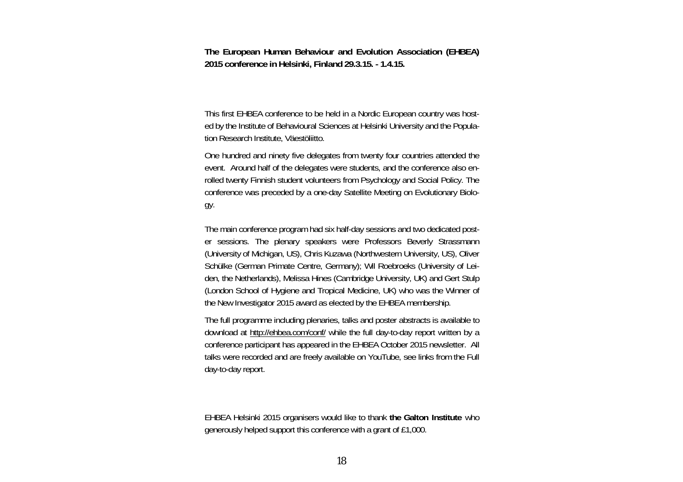**The European Human Behaviour and Evolution Association (EHBEA) 2015 conference in Helsinki, Finland 29.3.15. - 1.4.15.** 

This first EHBEA conference to be held in a Nordic European country was hosted by the Institute of Behavioural Sciences at Helsinki University and the Population Research Institute, Väestöliitto.

One hundred and ninety five delegates from twenty four countries attended the event. Around half of the delegates were students, and the conference also enrolled twenty Finnish student volunteers from Psychology and Social Policy. The conference was preceded by a one-day Satellite Meeting on Evolutionary Biology.

The main conference program had six half-day sessions and two dedicated poster sessions. The plenary speakers were Professors Beverly Strassmann (University of Michigan, US), Chris Kuzawa (Northwestern University, US), Oliver Schülke (German Primate Centre, Germany); Wil Roebroeks (University of Leiden, the Netherlands), Melissa Hines (Cambridge University, UK) and Gert Stulp (London School of Hygiene and Tropical Medicine, UK) who was the Winner of the New Investigator 2015 award as elected by the EHBEA membership.

The full programme including plenaries, talks and poster abstracts is available to download at http://ehbea.com/conf/ while the full day-to-day report written by a conference participant has appeared in the EHBEA October 2015 newsletter. All talks were recorded and are freely available on YouTube, see links from the Full day-to-day report.

EHBEA Helsinki 2015 organisers would like to thank **the Galton Institute** who generously helped support this conference with a grant of £1,000.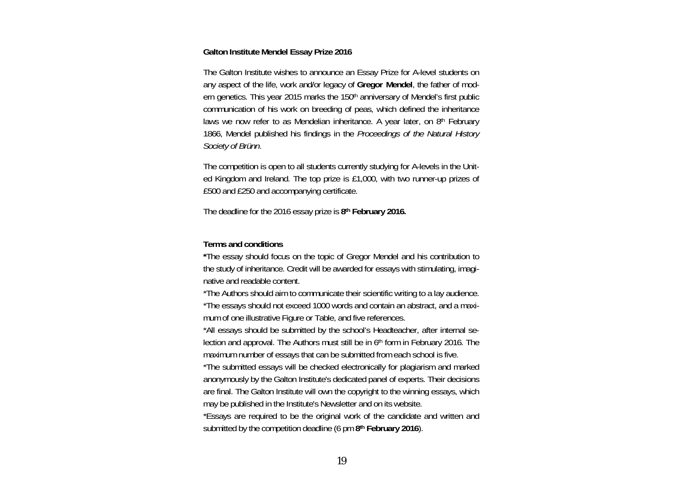#### **Galton Institute Mendel Essay Prize 2016**

The Galton Institute wishes to announce an Essay Prize for A-level students on any aspect of the life, work and/or legacy of **Gregor Mendel**, the father of modern genetics. This year 2015 marks the 150<sup>th</sup> anniversary of Mendel's first public communication of his work on breeding of peas, which defined the inheritance laws we now refer to as Mendelian inheritance. A year later, on 8<sup>th</sup> February 1866, Mendel published his findings in the *Proceedings of the Natural History Society of Brünn*.

The competition is open to all students currently studying for A-levels in the United Kingdom and Ireland. The top prize is £1,000, with two runner-up prizes of £500 and £250 and accompanying certificate.

The deadline for the 2016 essay prize is **8th February 2016.** 

#### **Terms and conditions**

**\***The essay should focus on the topic of Gregor Mendel and his contribution to the study of inheritance. Credit will be awarded for essays with stimulating, imaginative and readable content.

\*The Authors should aim to communicate their scientific writing to a lay audience. \*The essays should not exceed 1000 words and contain an abstract, and a maximum of one illustrative Figure or Table, and five references.

\*All essays should be submitted by the school's Headteacher, after internal selection and approval. The Authors must still be in 6th form in February 2016. The maximum number of essays that can be submitted from each school is five.

\*The submitted essays will be checked electronically for plagiarism and marked anonymously by the Galton Institute's dedicated panel of experts. Their decisions are final. The Galton Institute will own the copyright to the winning essays, which may be published in the Institute's Newsletter and on its website.

\*Essays are required to be the original work of the candidate and written and submitted by the competition deadline (6 pm **8th February 2016**).